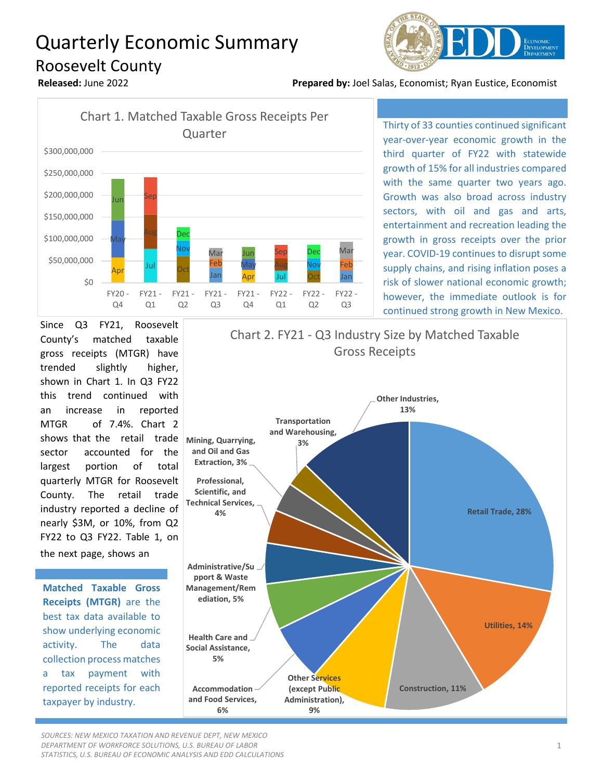## Quarterly Economic Summary Roosevelt County



**Released:** June 2022 **Prepared by:** Joel Salas, Economist; Ryan Eustice, Economist



Thirty of 33 counties continued significant year-over-year economic growth in the third quarter of FY22 with statewide growth of 15% for all industries compared with the same quarter two years ago. Growth was also broad across industry sectors, with oil and gas and arts, entertainment and recreation leading the growth in gross receipts over the prior year. COVID-19 continues to disrupt some supply chains, and rising inflation poses a risk of slower national economic growth; however, the immediate outlook is for continued strong growth in New Mexico.

Since Q3 FY21, Roosevelt County's matched taxable gross receipts (MTGR) have trended slightly higher, shown in Chart 1. In Q3 FY22 this trend continued with an increase in reported MTGR of 7.4%. Chart 2 shows that the retail trade sector accounted for the largest portion of total quarterly MTGR for Roosevelt County. The retail trade industry reported a decline of nearly \$3M, or 10%, from Q2 FY22 to Q3 FY22. Table 1, on

the next page, shows an

**Matched Taxable Gross Receipts (MTGR)** are the best tax data available to show underlying economic activity. The data collection process matches a tax payment with reported receipts for each taxpayer by industry.



*SOURCES: NEW MEXICO TAXATION AND REVENUE DEPT, NEW MEXICO DEPARTMENT OF WORKFORCE SOLUTIONS, U.S. BUREAU OF LABOR STATISTICS, U.S. BUREAU OF ECONOMIC ANALYSIS AND EDD CALCULATIONS*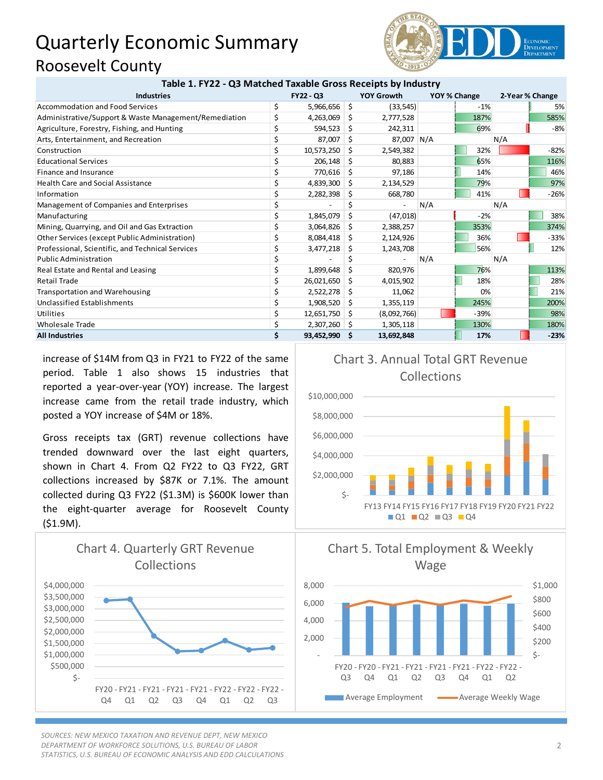## Quarterly Economic Summary Roosevelt County



| Table 1. FTZZ - Q5 IVIAtCHEQ Taxable Gross Receipts by Illudstry |           |            |     |                   |              |        |                 |        |
|------------------------------------------------------------------|-----------|------------|-----|-------------------|--------------|--------|-----------------|--------|
| <b>Industries</b>                                                | FY22 - Q3 |            |     | <b>YOY Growth</b> | YOY % Change |        | 2-Year % Change |        |
| <b>Accommodation and Food Services</b>                           | \$        | 5,966,656  | \$  | (33, 545)         |              | $-1%$  |                 | 5%     |
| Administrative/Support & Waste Management/Remediation            | \$        | 4,263,069  | S   | 2,777,528         |              | 187%   |                 | 585%   |
| Agriculture, Forestry, Fishing, and Hunting                      |           | 594,523    | S   | 242,311           |              | 69%    |                 | $-8%$  |
| Arts, Entertainment, and Recreation                              |           | 87,007     | S   | 87,007 N/A        |              |        | N/A             |        |
| Construction                                                     |           | 10,573,250 | S   | 2,549,382         |              | 32%    |                 | $-82%$ |
| <b>Educational Services</b>                                      |           | 206,148    | S   | 80,883            |              | 65%    |                 | 116%   |
| Finance and Insurance                                            |           | 770,616    | Ŝ   | 97,186            |              | 14%    |                 | 46%    |
| <b>Health Care and Social Assistance</b>                         |           | 4,839,300  | S   | 2,134,529         |              | 79%    |                 | 97%    |
| Information                                                      |           | 2,282,398  |     | 668,780           |              | 41%    |                 | $-26%$ |
| Management of Companies and Enterprises                          |           |            |     |                   | N/A          |        | N/A             |        |
| Manufacturing                                                    |           | 1,845,079  | Ŝ   | (47,018)          |              | $-2%$  |                 | 38%    |
| Mining, Quarrying, and Oil and Gas Extraction                    |           | 3,064,826  | S   | 2,388,257         |              | 353%   |                 | 374%   |
| Other Services (except Public Administration)                    |           | 8,084,418  | S   | 2,124,926         |              | 36%    |                 | $-33%$ |
| Professional, Scientific, and Technical Services                 |           | 3,477,218  | S   | 1,243,708         |              | 56%    |                 | 12%    |
| <b>Public Administration</b>                                     |           |            |     |                   | N/A          |        | N/A             |        |
| Real Estate and Rental and Leasing                               | \$        | 1,899,648  | \$  | 820,976           |              | 76%    |                 | 113%   |
| <b>Retail Trade</b>                                              |           | 26,021,650 | S   | 4,015,902         |              | 18%    |                 | 28%    |
| <b>Transportation and Warehousing</b>                            |           | 2,522,278  | S   | 11,062            |              | 0%     |                 | 21%    |
| <b>Unclassified Establishments</b>                               |           | 1,908,520  | S   | 1,355,119         |              | 245%   |                 | 200%   |
| Utilities                                                        |           | 12,651,750 | S   | (8,092,766)       |              | $-39%$ |                 | 98%    |
| <b>Wholesale Trade</b>                                           |           | 2,307,260  | -S  | 1,305,118         |              | 130%   |                 | 180%   |
| <b>All Industries</b>                                            | Ś.        | 93,452,990 | \$. | 13,692,848        |              | 17%    |                 | $-23%$ |

**Table 1. FY22 - Q3 Matched Taxable Gross Receipts by Industry**

increase of \$14M from Q3 in FY21 to FY22 of the same period. Table 1 also shows 15 industries that reported a year-over-year (YOY) increase. The largest increase came from the retail trade industry, which posted a YOY increase of \$4M or 18%.

Gross receipts tax (GRT) revenue collections have trended downward over the last eight quarters, shown in Chart 4. From Q2 FY22 to Q3 FY22, GRT collections increased by \$87K or 7.1%. The amount collected during Q3 FY22 (\$1.3M) is \$600K lower than the eight-quarter average for Roosevelt County (\$1.9M).



*SOURCES: NEW MEXICO TAXATION AND REVENUE DEPT, NEW MEXICO DEPARTMENT OF WORKFORCE SOLUTIONS, U.S. BUREAU OF LABOR STATISTICS, U.S. BUREAU OF ECONOMIC ANALYSIS AND EDD CALCULATIONS*





Chart 3. Annual Total GRT Revenue